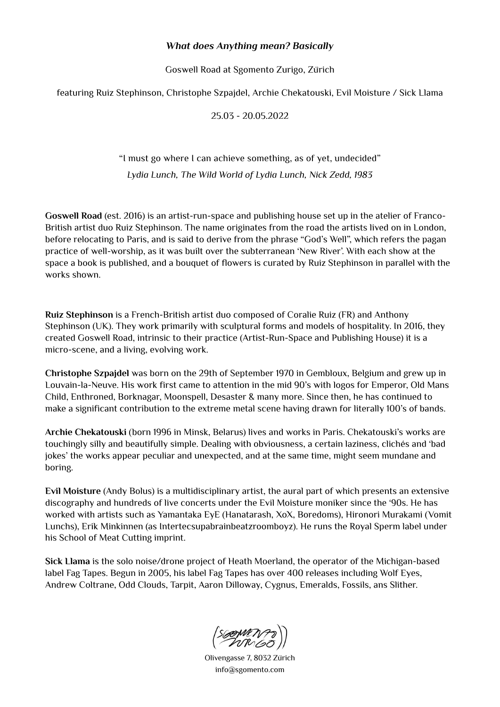## *What does Anything mean? Basically*

Goswell Road at Sgomento Zurigo, Zürich

featuring Ruiz Stephinson, Christophe Szpajdel, Archie Chekatouski, Evil Moisture / Sick Llama

25.03 - 20.05.2022

## "I must go where I can achieve something, as of yet, undecided" *Lydia Lunch, The Wild World of Lydia Lunch, Nick Zedd, 1983*

**Goswell Road** (est. 2016) is an artist-run-space and publishing house set up in the atelier of Franco-British artist duo Ruiz Stephinson. The name originates from the road the artists lived on in London, before relocating to Paris, and is said to derive from the phrase "God's Well", which refers the pagan practice of well-worship, as it was built over the subterranean 'New River'. With each show at the space a book is published, and a bouquet of flowers is curated by Ruiz Stephinson in parallel with the works shown.

**Ruiz Stephinson** is a French-British artist duo composed of Coralie Ruiz (FR) and Anthony Stephinson (UK). They work primarily with sculptural forms and models of hospitality. In 2016, they created Goswell Road, intrinsic to their practice (Artist-Run-Space and Publishing House) it is a micro-scene, and a living, evolving work.

**Christophe Szpajdel** was born on the 29th of September 1970 in Gembloux, Belgium and grew up in Louvain-la-Neuve. His work first came to attention in the mid 90's with logos for Emperor, Old Mans Child, Enthroned, Borknagar, Moonspell, Desaster & many more. Since then, he has continued to make a significant contribution to the extreme metal scene having drawn for literally 100's of bands.

**Archie Chekatouski** (born 1996 in Minsk, Belarus) lives and works in Paris. Chekatouski's works are touchingly silly and beautifully simple. Dealing with obviousness, a certain laziness, clichés and 'bad jokes' the works appear peculiar and unexpected, and at the same time, might seem mundane and boring.

**Evil Moisture** (Andy Bolus) is a multidisciplinary artist, the aural part of which presents an extensive discography and hundreds of live concerts under the Evil Moisture moniker since the '90s. He has worked with artists such as Yamantaka EyE (Hanatarash, XoX, Boredoms), Hironori Murakami (Vomit Lunchs), Erik Minkinnen (as Intertecsupabrainbeatzroomboyz). He runs the Royal Sperm label under his School of Meat Cutting imprint.

**Sick Llama** is the solo noise/drone project of Heath Moerland, the operator of the Michigan-based label Fag Tapes. Begun in 2005, his label Fag Tapes has over 400 releases including Wolf Eyes, Andrew Coltrane, Odd Clouds, Tarpit, Aaron Dilloway, Cygnus, Emeralds, Fossils, ans Slither.

(SOOMENT)

Olivengasse 7, 8032 Zürich info@sgomento.com